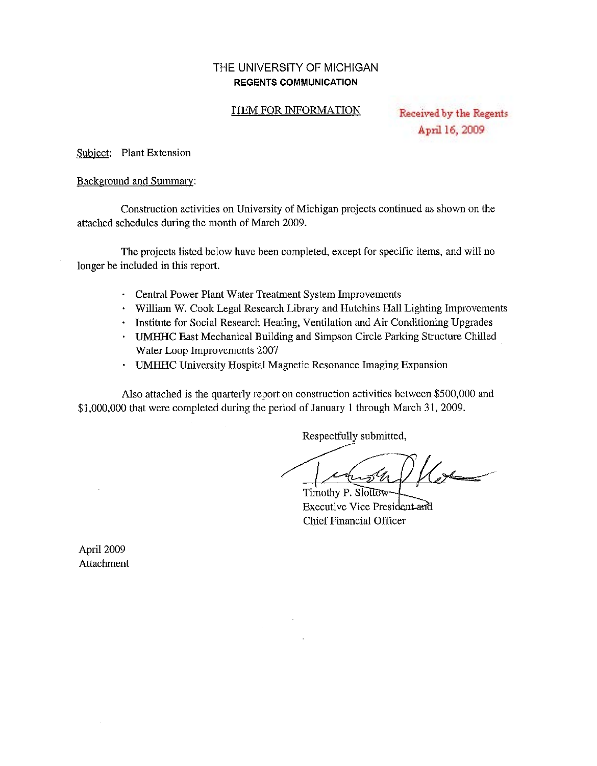### THE UNIVERSITY OF MICHIGAN **REGENTS COMMUNICATION**

#### ITEM FOR INFORMATION

Received by the Regents April 16, 2009

Subject: Plant Extension

#### Background and Summary:

Construction activities on University of Michigan projects continued as shown on the attached schedules during the month of March 2009.

The projects listed below have been completed, except for specific items, and will no longer be included in this report.

- Central Power Plant Water Treatment System Improvements
- William W. Cook Legal Research Library and Hutchins Hall Lighting Improvements
- Institute for Social Research Heating, Ventilation and Air Conditioning Upgrades
- UMHHC East Mechanical Building and Simpson Circle Parking Structure Chilled Water Loop Improvements 2007
- UMHHC University Hospital Magnetic Resonance Imaging Expansion

Also attached is the quarterly report on construction activities between \$500,000 and \$1,000,000 that were completed during the period of January 1 through March 31, 2009.

 $\mathcal{L}^{\text{max}}$ 

Respectfully submitted,

Respectfully /<br>st<del>rate</del>

Timothy P. Slottow-Executive Vice President and Chief Financial Officer

April 2009 Attachment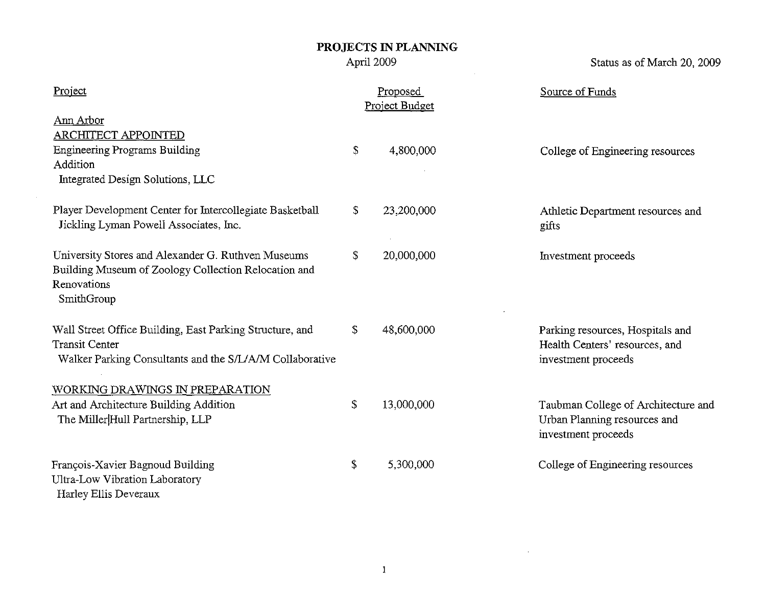$\mathcal{L}^{\text{max}}_{\text{max}}$ 

Status as of March 20, 2009

| Project                                                                                                                                       | Proposed<br>Project Budget | Source of Funds                                                                            |
|-----------------------------------------------------------------------------------------------------------------------------------------------|----------------------------|--------------------------------------------------------------------------------------------|
| Ann Arbor<br><b>ARCHITECT APPOINTED</b><br><b>Engineering Programs Building</b><br>Addition<br>Integrated Design Solutions, LLC               | \$<br>4,800,000            | College of Engineering resources                                                           |
| Player Development Center for Intercollegiate Basketball<br>Jickling Lyman Powell Associates, Inc.                                            | \$<br>23,200,000           | Athletic Department resources and<br>gifts                                                 |
| University Stores and Alexander G. Ruthven Museums<br>Building Museum of Zoology Collection Relocation and<br>Renovations<br>SmithGroup       | \$<br>20,000,000           | Investment proceeds                                                                        |
| Wall Street Office Building, East Parking Structure, and<br><b>Transit Center</b><br>Walker Parking Consultants and the S/L/A/M Collaborative | \$<br>48,600,000           | Parking resources, Hospitals and<br>Health Centers' resources, and<br>investment proceeds  |
| WORKING DRAWINGS IN PREPARATION<br>Art and Architecture Building Addition<br>The Miller Hull Partnership, LLP                                 | \$<br>13,000,000           | Taubman College of Architecture and<br>Urban Planning resources and<br>investment proceeds |
| François-Xavier Bagnoud Building<br>Ultra-Low Vibration Laboratory<br>Harley Ellis Deveraux                                                   | \$<br>5,300,000            | College of Engineering resources                                                           |

 $\mathcal{L}^{\text{max}}_{\text{max}}$  and  $\mathcal{L}^{\text{max}}_{\text{max}}$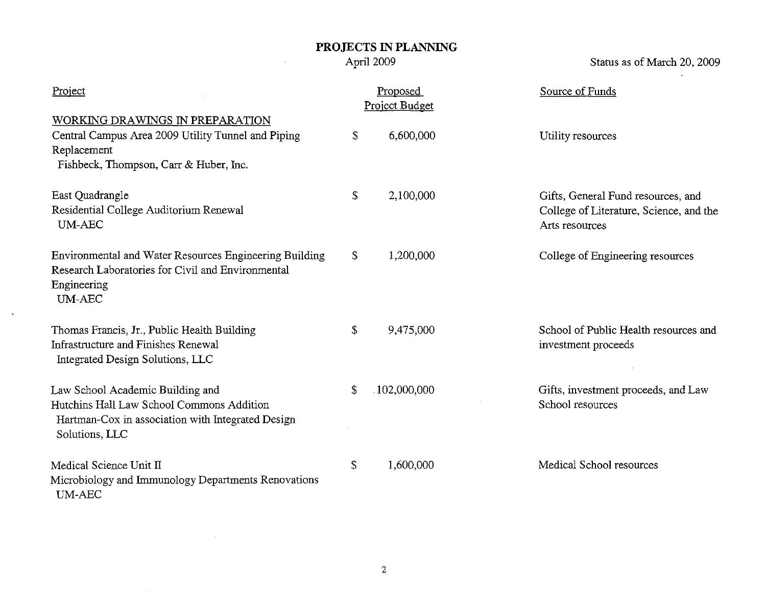April 2009

 $\bar{z}$ 

 $\sim$ 

Status as of March 20, 2009

 $\mathcal{L}$ 

| Project                                                                                                                                              |               | Proposed<br>Project Budget | Source of Funds                                                                                 |
|------------------------------------------------------------------------------------------------------------------------------------------------------|---------------|----------------------------|-------------------------------------------------------------------------------------------------|
| WORKING DRAWINGS IN PREPARATION<br>Central Campus Area 2009 Utility Tunnel and Piping<br>Replacement<br>Fishbeck, Thompson, Carr & Huber, Inc.       | \$            | 6,600,000                  | Utility resources                                                                               |
| East Quadrangle<br>Residential College Auditorium Renewal<br><b>UM-AEC</b>                                                                           | \$            | 2,100,000                  | Gifts, General Fund resources, and<br>College of Literature, Science, and the<br>Arts resources |
| Environmental and Water Resources Engineering Building<br>Research Laboratories for Civil and Environmental<br>Engineering<br><b>UM-AEC</b>          | \$            | 1,200,000                  | College of Engineering resources                                                                |
| Thomas Francis, Jr., Public Health Building<br><b>Infrastructure and Finishes Renewal</b><br>Integrated Design Solutions, LLC                        | $\mathcal{L}$ | 9,475,000                  | School of Public Health resources and<br>investment proceeds                                    |
| Law School Academic Building and<br>Hutchins Hall Law School Commons Addition<br>Hartman-Cox in association with Integrated Design<br>Solutions, LLC | S.            | .102,000,000               | Gifts, investment proceeds, and Law<br>School resources                                         |
| Medical Science Unit II<br>Microbiology and Immunology Departments Renovations<br>$\ensuremath{\text{UM-ABC}}$                                       | \$            | 1,600,000                  | Medical School resources                                                                        |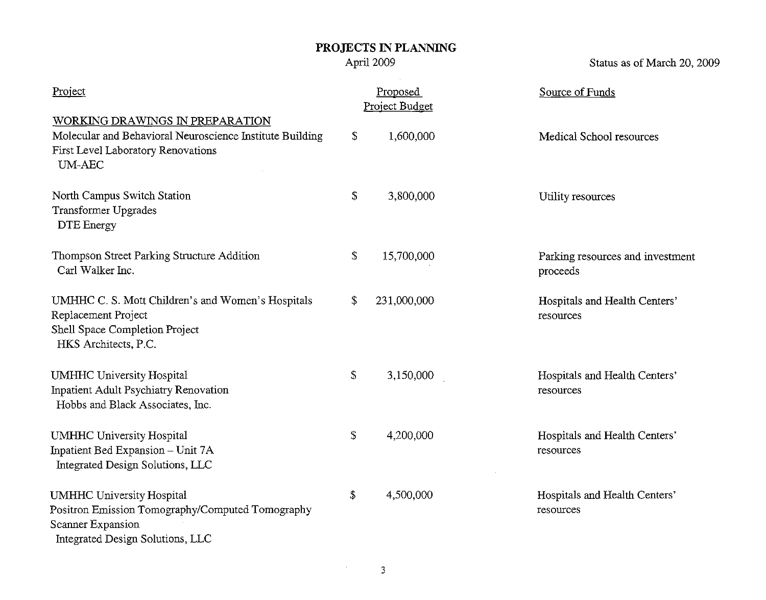April 2009

Status as of March 20, 2009

| Project                                                                                                                                            | Proposed<br>Project Budget | Source of Funds                              |
|----------------------------------------------------------------------------------------------------------------------------------------------------|----------------------------|----------------------------------------------|
| WORKING DRAWINGS IN PREPARATION<br>Molecular and Behavioral Neuroscience Institute Building<br>First Level Laboratory Renovations<br><b>UM-AEC</b> | \$<br>1,600,000            | Medical School resources                     |
| North Campus Switch Station<br><b>Transformer Upgrades</b><br><b>DTE</b> Energy                                                                    | \$<br>3,800,000            | Utility resources                            |
| Thompson Street Parking Structure Addition<br>Carl Walker Inc.                                                                                     | \$<br>15,700,000           | Parking resources and investment<br>proceeds |
| UMHHC C. S. Mott Children's and Women's Hospitals<br>Replacement Project<br>Shell Space Completion Project<br>HKS Architects, P.C.                 | \$<br>231,000,000          | Hospitals and Health Centers'<br>resources   |
| <b>UMHHC University Hospital</b><br>Inpatient Adult Psychiatry Renovation<br>Hobbs and Black Associates, Inc.                                      | \$<br>3,150,000            | Hospitals and Health Centers'<br>resources   |
| <b>UMHHC University Hospital</b><br>Inpatient Bed Expansion - Unit 7A<br>Integrated Design Solutions, LLC                                          | \$<br>4,200,000            | Hospitals and Health Centers'<br>resources   |
| <b>UMHHC University Hospital</b><br>Positron Emission Tomography/Computed Tomography<br>Scanner Expansion<br>Integrated Design Solutions, LLC      | \$<br>4,500,000            | Hospitals and Health Centers'<br>resources   |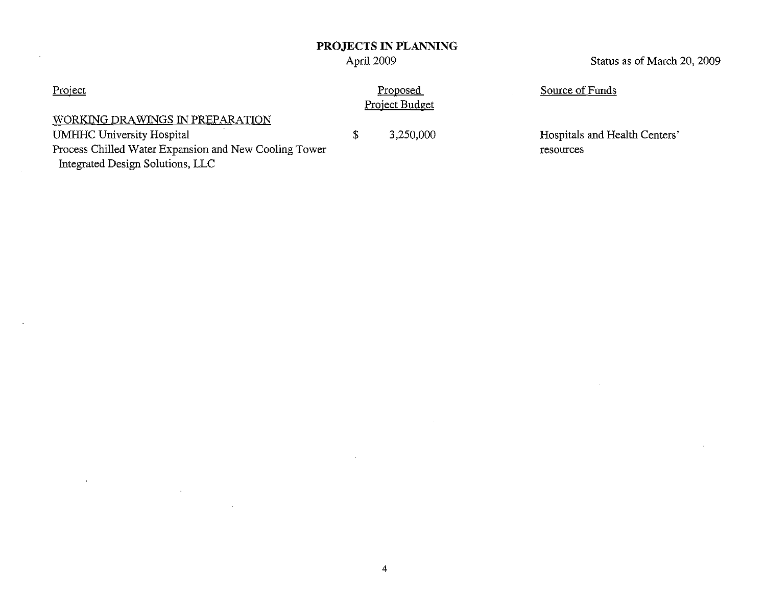### April 2009

Status as of March 20, 2009

### Project

### WORKING DRAWINGS IN PREPARATION

UMHHC University Hospital

Process Chilled Water Expansion and New Cooling Tower Integrated Design Solutions, LLC

 $\lambda$ 

Proposed Project Budget

\$

Source of Funds

3,250,000 Hospitals and Health Centers' resources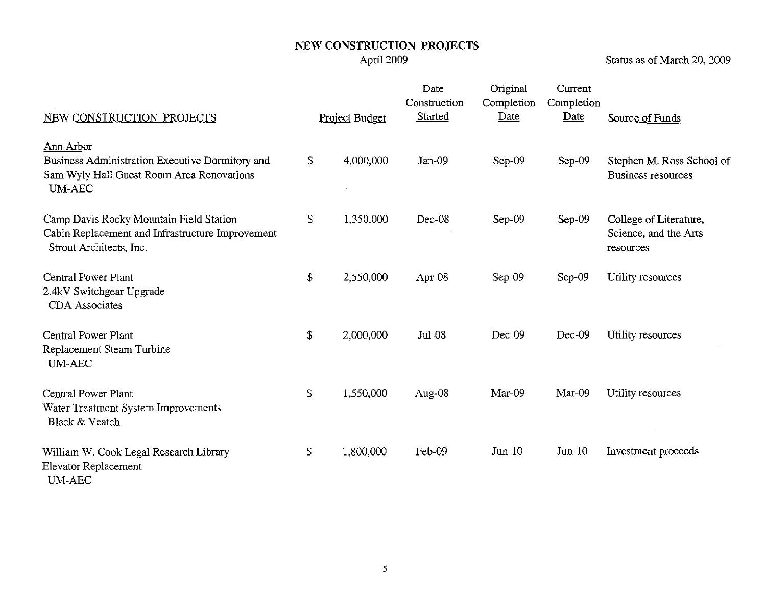Status as of March 20, 2009

| NEW CONSTRUCTION PROJECTS                                                                                              |               | Project Budget | Date<br>Construction<br>Started | Original<br>Completion<br>Date | Current<br>Completion<br>Date | Source of Funds                                              |
|------------------------------------------------------------------------------------------------------------------------|---------------|----------------|---------------------------------|--------------------------------|-------------------------------|--------------------------------------------------------------|
| Ann Arbor<br>Business Administration Executive Dormitory and<br>Sam Wyly Hall Guest Room Area Renovations<br>UM-AEC    | $\mathcal{L}$ | 4,000,000      | $Jan-09$                        | Sep-09                         | $Sep-09$                      | Stephen M. Ross School of<br>Business resources              |
| Camp Davis Rocky Mountain Field Station<br>Cabin Replacement and Infrastructure Improvement<br>Strout Architects, Inc. | \$            | 1,350,000      | Dec-08                          | Sep-09                         | $Sep-09$                      | College of Literature,<br>Science, and the Arts<br>resources |
| Central Power Plant<br>2.4kV Switchgear Upgrade<br><b>CDA</b> Associates                                               | \$            | 2,550,000      | Apr-08                          | Sep-09                         | Sep-09                        | Utility resources                                            |
| Central Power Plant<br>Replacement Steam Turbine<br><b>UM-AEC</b>                                                      | \$            | 2,000,000      | $Jul-08$                        | Dec-09                         | Dec-09                        | Utility resources                                            |
| <b>Central Power Plant</b><br>Water Treatment System Improvements<br>Black & Veatch                                    | \$            | 1,550,000      | Aug-08                          | Mar-09                         | Mar-09                        | Utility resources                                            |
| William W. Cook Legal Research Library<br>Elevator Replacement<br><b>UM-AEC</b>                                        | \$            | 1,800,000      | Feb-09                          | $Jun-10$                       | $Jun-10$                      | Investment proceeds                                          |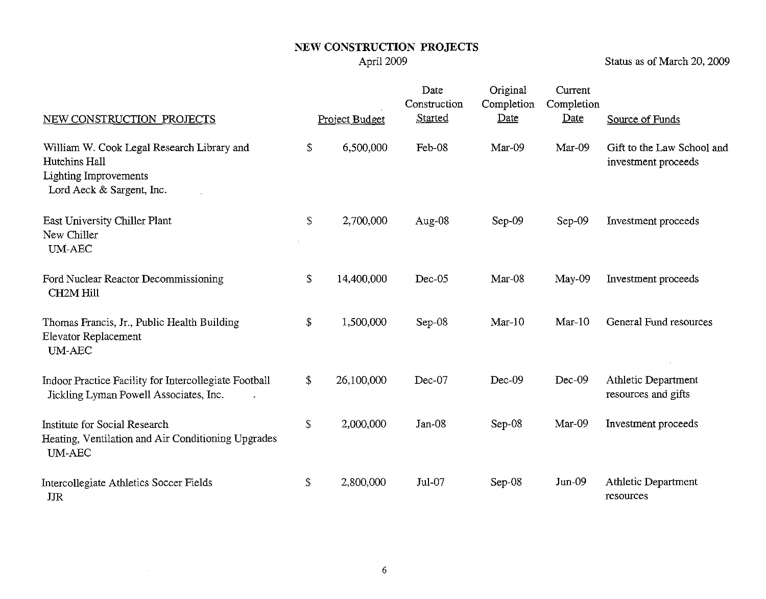Status as of March 20, 2009

| NEW CONSTRUCTION PROJECTS                                                                                                | Project Budget   | Date<br>Construction<br>Started | Original<br>Completion<br>Date | Current<br>Completion<br>Date | Source of Funds                                   |
|--------------------------------------------------------------------------------------------------------------------------|------------------|---------------------------------|--------------------------------|-------------------------------|---------------------------------------------------|
| William W. Cook Legal Research Library and<br>Hutchins Hall<br><b>Lighting Improvements</b><br>Lord Aeck & Sargent, Inc. | \$<br>6,500,000  | Feb-08                          | Mar-09                         | Mar-09                        | Gift to the Law School and<br>investment proceeds |
| East University Chiller Plant<br>New Chiller<br><b>UM-AEC</b>                                                            | \$<br>2,700,000  | Aug-08                          | Sep-09                         | Sep-09                        | Investment proceeds                               |
| Ford Nuclear Reactor Decommissioning<br><b>CH2M Hill</b>                                                                 | \$<br>14,400,000 | $Dec-05$                        | Mar-08                         | May-09                        | Investment proceeds                               |
| Thomas Francis, Jr., Public Health Building<br>Elevator Replacement<br><b>UM-AEC</b>                                     | \$<br>1,500,000  | Sep-08                          | $Mar-10$                       | $Mar-10$                      | General Fund resources                            |
| Indoor Practice Facility for Intercollegiate Football<br>Jickling Lyman Powell Associates, Inc.                          | \$<br>26,100,000 | Dec-07                          | $Dec-09$                       | $Dec-09$                      | Athletic Department<br>resources and gifts        |
| <b>Institute for Social Research</b><br>Heating, Ventilation and Air Conditioning Upgrades<br><b>UM-AEC</b>              | \$<br>2,000,000  | $Jan-08$                        | Sep-08                         | $Mar-09$                      | Investment proceeds                               |
| Intercollegiate Athletics Soccer Fields<br>JJR                                                                           | \$<br>2,800,000  | Jul-07                          | Sep-08                         | $Jun-09$                      | Athletic Department<br>resources                  |

 $\sim 10^6$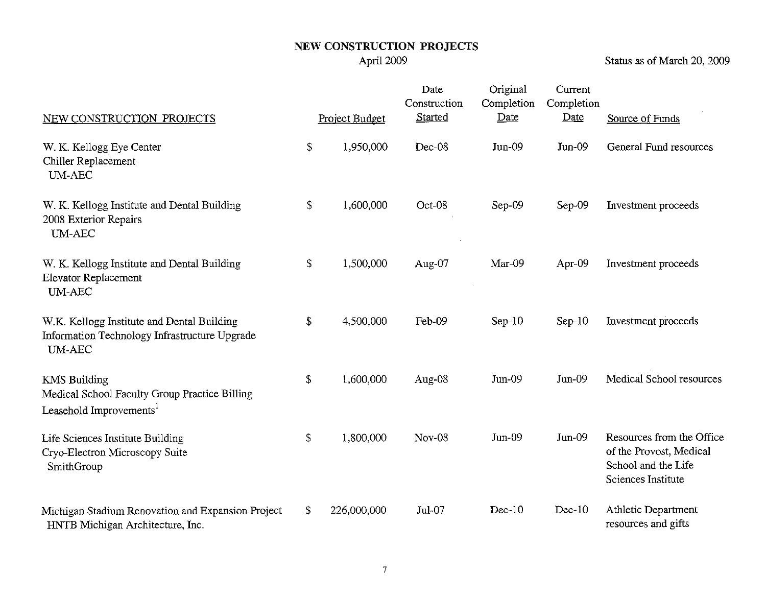Status as of March 20, 2009

| NEW CONSTRUCTION PROJECTS                                                                                    |               | Project Budget | Date<br>Construction<br>Started | Original<br>Completion<br>Date | Current<br>Completion<br>Date | Source of Funds                                                                                   |
|--------------------------------------------------------------------------------------------------------------|---------------|----------------|---------------------------------|--------------------------------|-------------------------------|---------------------------------------------------------------------------------------------------|
| W. K. Kellogg Eye Center<br>Chiller Replacement<br><b>UM-AEC</b>                                             | \$            | 1,950,000      | Dec-08                          | Jun-09                         | $Jun-09$                      | General Fund resources                                                                            |
| W. K. Kellogg Institute and Dental Building<br>2008 Exterior Repairs<br><b>UM-AEC</b>                        | \$            | 1,600,000      | Oct-08                          | Sep-09                         | Sep-09                        | Investment proceeds                                                                               |
| W. K. Kellogg Institute and Dental Building<br><b>Elevator Replacement</b><br>$\text{UM-ABC}$                | \$            | 1,500,000      | Aug-07                          | $Mar-09$                       | Apr-09                        | Investment proceeds                                                                               |
| W.K. Kellogg Institute and Dental Building<br>Information Technology Infrastructure Upgrade<br><b>UM-AEC</b> | $\mathcal{S}$ | 4,500,000      | Feb-09                          | $Sep-10$                       | $Sep-10$                      | Investment proceeds                                                                               |
| <b>KMS Building</b><br>Medical School Faculty Group Practice Billing<br>Leasehold Improvements <sup>1</sup>  | \$            | 1,600,000      | Aug-08                          | $Jun-09$                       | $Jun-09$                      | Medical School resources                                                                          |
| Life Sciences Institute Building<br>Cryo-Electron Microscopy Suite<br>SmithGroup                             | \$            | 1,800,000      | Nov-08                          | $Jun-09$                       | $Jun-09$                      | Resources from the Office<br>of the Provost, Medical<br>School and the Life<br>Sciences Institute |
| Michigan Stadium Renovation and Expansion Project<br>HNTB Michigan Architecture, Inc.                        | \$            | 226,000,000    | Jul-07                          | $Dec-10$                       | $Dec-10$                      | Athletic Department<br>resources and gifts                                                        |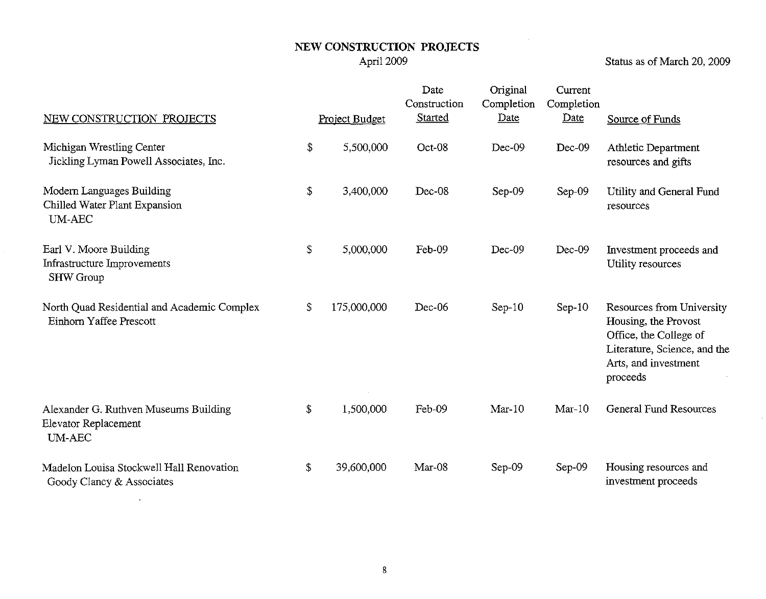Status as of March 20, 2009

 $\sim$ 

 $\sim 10^{-1}$ 

| NEW CONSTRUCTION PROJECTS                                                   | Project Budget    | Date<br>Construction<br>Started | Original<br>Completion<br>Date | Current<br>Completion<br>Date | Source of Funds                                                                                                                                 |
|-----------------------------------------------------------------------------|-------------------|---------------------------------|--------------------------------|-------------------------------|-------------------------------------------------------------------------------------------------------------------------------------------------|
| Michigan Wrestling Center<br>Jickling Lyman Powell Associates, Inc.         | \$<br>5,500,000   | Oct-08                          | Dec-09                         | $Dec-09$                      | Athletic Department<br>resources and gifts                                                                                                      |
| Modern Languages Building<br>Chilled Water Plant Expansion<br><b>UM-AEC</b> | \$<br>3,400,000   | Dec-08                          | $Sep-09$                       | Sep-09                        | Utility and General Fund<br>resources                                                                                                           |
| Earl V. Moore Building<br>Infrastructure Improvements<br><b>SHW Group</b>   | \$<br>5,000,000   | Feb-09                          | Dec-09                         | Dec-09                        | Investment proceeds and<br>Utility resources                                                                                                    |
| North Quad Residential and Academic Complex<br>Einhorn Yaffee Prescott      | \$<br>175,000,000 | Dec-06                          | $Sep-10$                       | $Sep-10$                      | Resources from University<br>Housing, the Provost<br>Office, the College of<br>Literature, Science, and the<br>Arts, and investment<br>proceeds |
| Alexander G. Ruthven Museums Building<br>Elevator Replacement<br>$UM-AEC$   | \$<br>1,500,000   | Feb-09                          | $Mar-10$                       | $Mar-10$                      | <b>General Fund Resources</b>                                                                                                                   |
| Madelon Louisa Stockwell Hall Renovation<br>Goody Clancy & Associates       | \$<br>39,600,000  | $Mar-08$                        | $Sep-09$                       | Sep-09                        | Housing resources and<br>investment proceeds                                                                                                    |

 $\sim$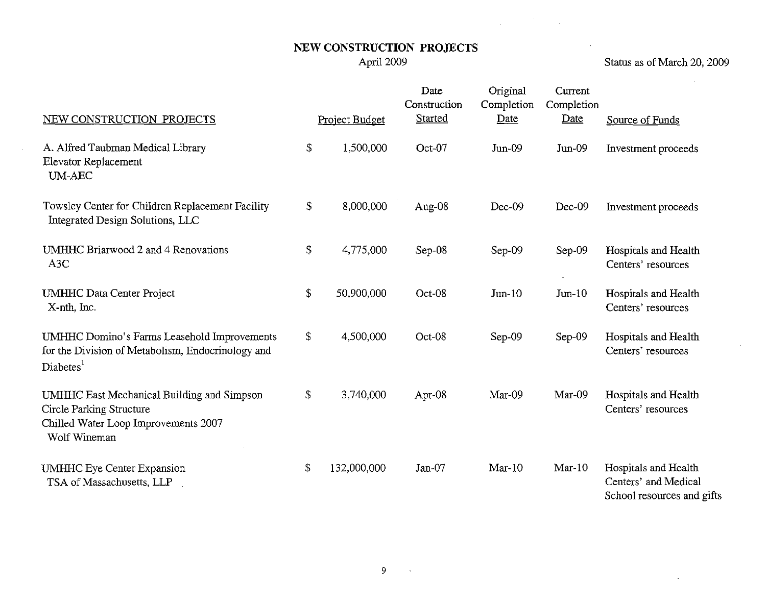$\mathcal{L}^{\mathcal{L}}$ 

 $\bar{A}$ 

 $\sim$ 

April 2009 Status as of March 20, 2009

 $\bar{z}$ 

| NEW CONSTRUCTION PROJECTS                                                                                                             |            | Project Budget | Date<br>Construction<br>Started | Original<br>Completion<br>Date | Current<br>Completion<br>Date | Source of Funds                                                            |
|---------------------------------------------------------------------------------------------------------------------------------------|------------|----------------|---------------------------------|--------------------------------|-------------------------------|----------------------------------------------------------------------------|
| A. Alfred Taubman Medical Library<br>Elevator Replacement<br>UM-AEC                                                                   | \$         | 1,500,000      | Oct-07                          | $Jun-09$                       | $Jun-09$                      | Investment proceeds                                                        |
| Towsley Center for Children Replacement Facility<br>Integrated Design Solutions, LLC                                                  | \$         | 8,000,000      | Aug-08                          | Dec-09                         | $Dec-09$                      | Investment proceeds                                                        |
| UMHHC Briarwood 2 and 4 Renovations<br>A <sub>3</sub> C                                                                               | \$         | 4,775,000      | $Sep-08$                        | Sep-09                         | Sep-09                        | Hospitals and Health<br>Centers' resources                                 |
| <b>UMHHC</b> Data Center Project<br>X-nth, Inc.                                                                                       | \$         | 50,900,000     | Oct-08                          | $J$ un- $10$                   | $Jun-10$                      | Hospitals and Health<br>Centers' resources                                 |
| UMHHC Domino's Farms Leasehold Improvements<br>for the Division of Metabolism, Endocrinology and<br>Diabetes <sup>1</sup>             | \$         | 4,500,000      | Oct-08                          | $Sep-09$                       | $Sep-09$                      | Hospitals and Health<br>Centers' resources                                 |
| UMHHC East Mechanical Building and Simpson<br><b>Circle Parking Structure</b><br>Chilled Water Loop Improvements 2007<br>Wolf Wineman | \$         | 3,740,000      | Apr- $08$                       | Mar-09                         | Mar-09                        | Hospitals and Health<br>Centers' resources                                 |
| <b>UMHHC</b> Eye Center Expansion<br>TSA of Massachusetts, LLP                                                                        | $\sqrt{2}$ | 132,000,000    | Jan-07                          | $Mar-10$                       | $Mar-10$                      | Hospitals and Health<br>Centers' and Medical<br>School resources and gifts |

 $\sim 10$   $\mu$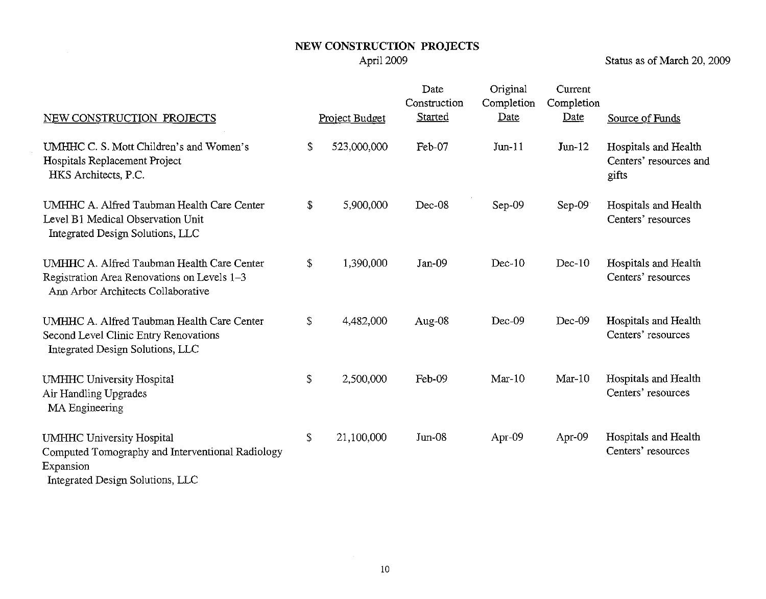Status as of March 20, 2009

| NEW CONSTRUCTION PROJECTS                                                                                                             | Project Budget    | Date<br>Construction<br>Started | Original<br>Completion<br>Date | Current<br>Completion<br>Date | Source of Funds                                         |
|---------------------------------------------------------------------------------------------------------------------------------------|-------------------|---------------------------------|--------------------------------|-------------------------------|---------------------------------------------------------|
| UMHHC C. S. Mott Children's and Women's<br>Hospitals Replacement Project<br>HKS Architects, P.C.                                      | \$<br>523,000,000 | Feb-07                          | $Jun-11$                       | $Jun-12$                      | Hospitals and Health<br>Centers' resources and<br>gifts |
| UMHHC A. Alfred Taubman Health Care Center<br>Level B1 Medical Observation Unit<br>Integrated Design Solutions, LLC                   | \$<br>5,900,000   | Dec-08                          | $Sep-09$                       | $Sep-09$                      | Hospitals and Health<br>Centers' resources              |
| UMHHC A. Alfred Taubman Health Care Center<br>Registration Area Renovations on Levels 1-3<br>Ann Arbor Architects Collaborative       | \$<br>1,390,000   | $Jan-09$                        | $Dec-10$                       | $Dec-10$                      | Hospitals and Health<br>Centers' resources              |
| UMHHC A. Alfred Taubman Health Care Center<br>Second Level Clinic Entry Renovations<br>Integrated Design Solutions, LLC               | \$<br>4,482,000   | Aug-08                          | Dec-09                         | Dec-09                        | Hospitals and Health<br>Centers' resources              |
| <b>UMHHC University Hospital</b><br>Air Handling Upgrades<br>MA Engineering                                                           | \$<br>2,500,000   | Feb-09                          | $Mar-10$                       | $Mar-10$                      | Hospitals and Health<br>Centers' resources              |
| <b>UMHHC University Hospital</b><br>Computed Tomography and Interventional Radiology<br>Expansion<br>Integrated Design Solutions, LLC | \$<br>21,100,000  | $Jun-08$                        | Apr-09                         | Apr-09                        | Hospitals and Health<br>Centers' resources              |

 $\sim 10$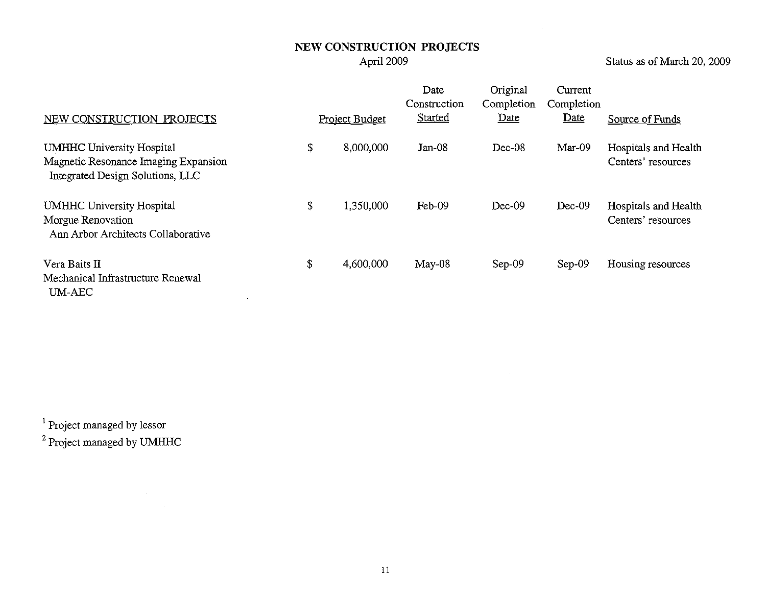Status as of March 20, 2009

| NEW CONSTRUCTION PROJECTS                                                                                    | Project Budget  | Date<br>Construction<br>Started | Original<br>Completion<br>Date | Current<br>Completion<br>Date | Source of Funds                            |
|--------------------------------------------------------------------------------------------------------------|-----------------|---------------------------------|--------------------------------|-------------------------------|--------------------------------------------|
| <b>UMHHC University Hospital</b><br>Magnetic Resonance Imaging Expansion<br>Integrated Design Solutions, LLC | \$<br>8,000,000 | $Jan-08$                        | $Dec-08$                       | $Mar-09$                      | Hospitals and Health<br>Centers' resources |
| UMHHC University Hospital<br>Morgue Renovation<br>Ann Arbor Architects Collaborative                         | \$<br>1,350,000 | Feb-09                          | $Dec-09$                       | $Dec-09$                      | Hospitals and Health<br>Centers' resources |
| Vera Baits II<br>Mechanical Infrastructure Renewal<br>UM-AEC                                                 | \$<br>4,600,000 | $May-08$                        | $Sep-09$                       | $Sep-09$                      | Housing resources                          |

1 Project managed by lessor

2 Project managed by UMHHC

 $\label{eq:2.1} \mathcal{L}(\mathcal{L}^{\mathcal{L}}_{\mathcal{L}}(\mathcal{L}^{\mathcal{L}}_{\mathcal{L}})) = \mathcal{L}(\mathcal{L}^{\mathcal{L}}_{\mathcal{L}}(\mathcal{L}^{\mathcal{L}}_{\mathcal{L}}))$ 

 $\sim 10^7$